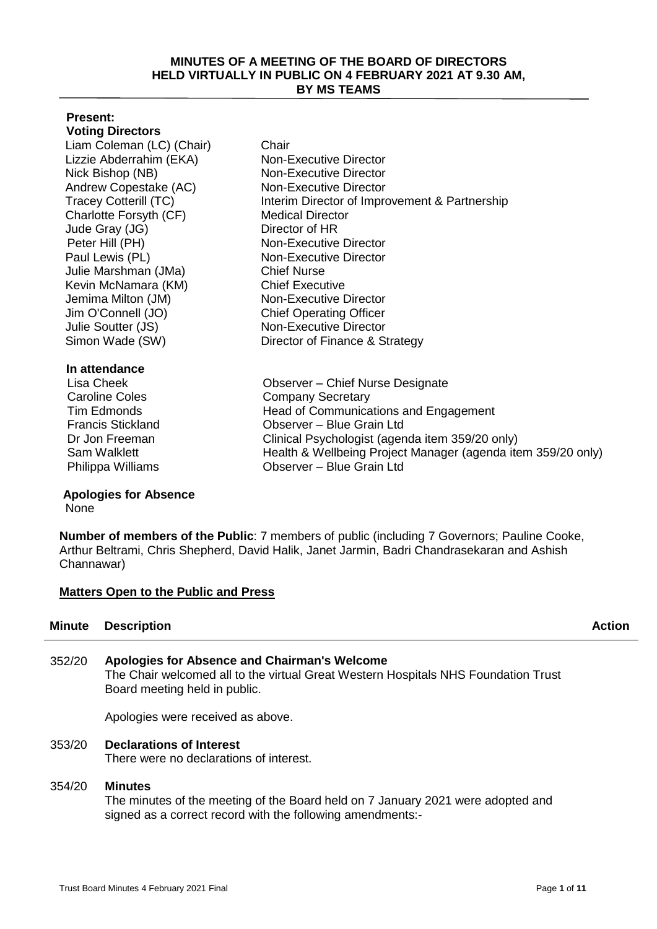#### **MINUTES OF A MEETING OF THE BOARD OF DIRECTORS HELD VIRTUALLY IN PUBLIC ON 4 FEBRUARY 2021 AT 9.30 AM, BY MS TEAMS**

## **Present:**

**Voting Directors** Liam Coleman (LC) (Chair) Chair Lizzie Abderrahim (EKA) Non-Executive Director Nick Bishop (NB) Non-Executive Director Andrew Copestake (AC) Non-Executive Director Charlotte Forsyth (CF) Medical Director Jude Gray (JG) Director of HR Peter Hill (PH) Non-Executive Director Paul Lewis (PL) Non-Executive Director Julie Marshman (JMa) Chief Nurse Kevin McNamara (KM) Chief Executive Jemima Milton (JM) Non-Executive Director Jim O'Connell (JO) Chief Operating Officer Julie Soutter (JS) Simon Wade (SW)

### **In attendance**

# **Apologies for Absence**

**None** 

Tracey Cotterill (TC) Interim Director of Improvement & Partnership Non-Executive Director Director of Finance & Strategy

Lisa Cheek Observer – Chief Nurse Designate Caroline Coles Company Secretary Tim Edmonds Head of Communications and Engagement Francis Stickland Observer – Blue Grain Ltd Dr Jon Freeman Clinical Psychologist (agenda item 359/20 only) Sam Walklett **Health & Wellbeing Project Manager (agenda item 359/20 only)** Philippa Williams Observer – Blue Grain Ltd

**Number of members of the Public**: 7 members of public (including 7 Governors; Pauline Cooke, Arthur Beltrami, Chris Shepherd, David Halik, Janet Jarmin, Badri Chandrasekaran and Ashish Channawar)

## **Matters Open to the Public and Press**

## **Minute Description Action**

352/20 **Apologies for Absence and Chairman's Welcome**  The Chair welcomed all to the virtual Great Western Hospitals NHS Foundation Trust Board meeting held in public.

Apologies were received as above.

## 353/20 **Declarations of Interest**

There were no declarations of interest.

## 354/20 **Minutes**

The minutes of the meeting of the Board held on 7 January 2021 were adopted and signed as a correct record with the following amendments:-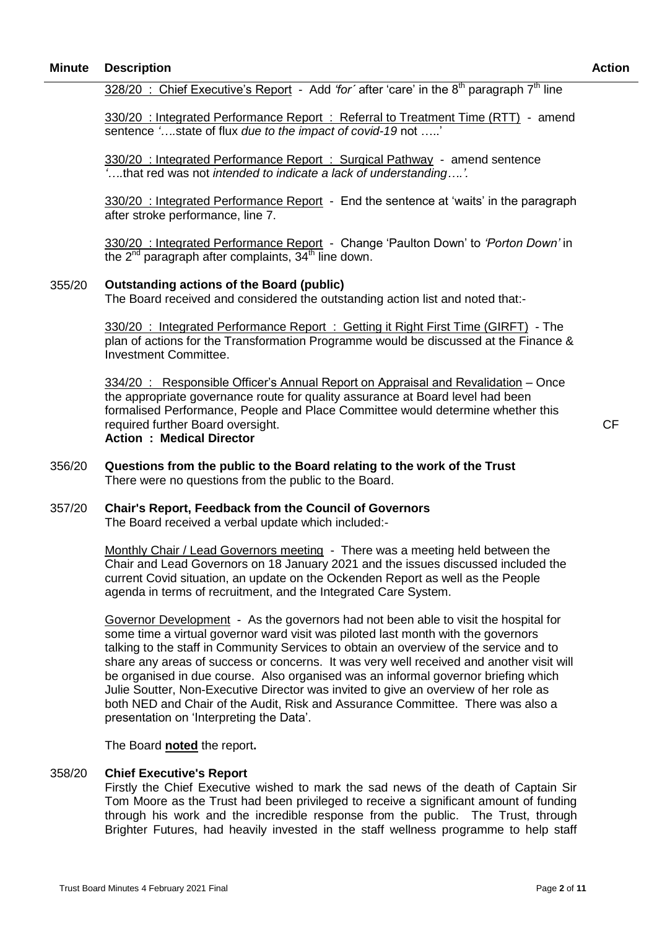328/20 : Chief Executive's Report - Add *'for´* after 'care' in the 8th paragraph 7th line

330/20 : Integrated Performance Report : Referral to Treatment Time (RTT) - amend sentence *'….*state of flux *due to the impact of covid-19* not …..'

330/20 : Integrated Performance Report : Surgical Pathway - amend sentence *'….*that red was not *intended to indicate a lack of understanding….'.*

330/20 : Integrated Performance Report - End the sentence at 'waits' in the paragraph after stroke performance, line 7.

330/20 : Integrated Performance Report - Change 'Paulton Down' to *'Porton Down'* in the  $2^{nd}$  paragraph after complaints,  $34^{th}$  line down.

#### 355/20 **Outstanding actions of the Board (public)**

The Board received and considered the outstanding action list and noted that:-

330/20 : Integrated Performance Report : Getting it Right First Time (GIRFT) - The plan of actions for the Transformation Programme would be discussed at the Finance & Investment Committee.

334/20 : Responsible Officer's Annual Report on Appraisal and Revalidation – Once the appropriate governance route for quality assurance at Board level had been formalised Performance, People and Place Committee would determine whether this required further Board oversight.

**Action : Medical Director** 

- 356/20 **Questions from the public to the Board relating to the work of the Trust** There were no questions from the public to the Board.
- 357/20 **Chair's Report, Feedback from the Council of Governors**  The Board received a verbal update which included:-

Monthly Chair / Lead Governors meeting - There was a meeting held between the Chair and Lead Governors on 18 January 2021 and the issues discussed included the current Covid situation, an update on the Ockenden Report as well as the People agenda in terms of recruitment, and the Integrated Care System.

Governor Development - As the governors had not been able to visit the hospital for some time a virtual governor ward visit was piloted last month with the governors talking to the staff in Community Services to obtain an overview of the service and to share any areas of success or concerns. It was very well received and another visit will be organised in due course. Also organised was an informal governor briefing which Julie Soutter, Non-Executive Director was invited to give an overview of her role as both NED and Chair of the Audit, Risk and Assurance Committee. There was also a presentation on 'Interpreting the Data'.

The Board **noted** the report**.**

#### 358/20 **Chief Executive's Report**

Firstly the Chief Executive wished to mark the sad news of the death of Captain Sir Tom Moore as the Trust had been privileged to receive a significant amount of funding through his work and the incredible response from the public. The Trust, through Brighter Futures, had heavily invested in the staff wellness programme to help staff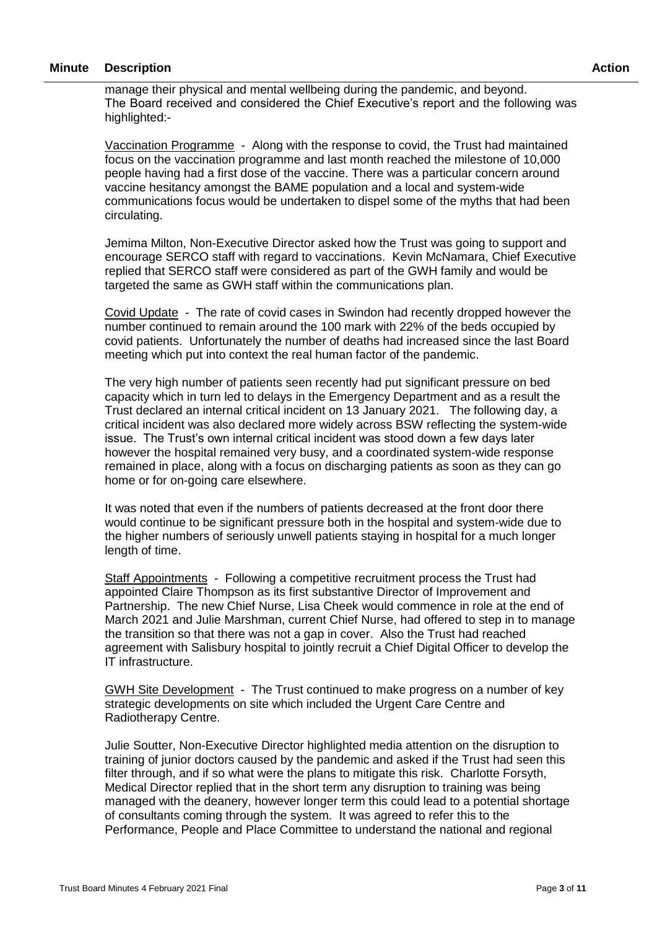manage their physical and mental wellbeing during the pandemic, and beyond. The Board received and considered the Chief Executive's report and the following was highlighted:-

Vaccination Programme - Along with the response to covid, the Trust had maintained focus on the vaccination programme and last month reached the milestone of 10,000 people having had a first dose of the vaccine. There was a particular concern around vaccine hesitancy amongst the BAME population and a local and system-wide communications focus would be undertaken to dispel some of the myths that had been circulating.

Jemima Milton, Non-Executive Director asked how the Trust was going to support and encourage SERCO staff with regard to vaccinations. Kevin McNamara, Chief Executive replied that SERCO staff were considered as part of the GWH family and would be targeted the same as GWH staff within the communications plan.

Covid Update - The rate of covid cases in Swindon had recently dropped however the number continued to remain around the 100 mark with 22% of the beds occupied by covid patients. Unfortunately the number of deaths had increased since the last Board meeting which put into context the real human factor of the pandemic.

The very high number of patients seen recently had put significant pressure on bed capacity which in turn led to delays in the Emergency Department and as a result the Trust declared an internal critical incident on 13 January 2021. The following day, a critical incident was also declared more widely across BSW reflecting the system-wide issue. The Trust's own internal critical incident was stood down a few days later however the hospital remained very busy, and a coordinated system-wide response remained in place, along with a focus on discharging patients as soon as they can go home or for on-going care elsewhere.

It was noted that even if the numbers of patients decreased at the front door there would continue to be significant pressure both in the hospital and system-wide due to the higher numbers of seriously unwell patients staying in hospital for a much longer length of time.

Staff Appointments - Following a competitive recruitment process the Trust had appointed Claire Thompson as its first substantive Director of Improvement and Partnership. The new Chief Nurse, Lisa Cheek would commence in role at the end of March 2021 and Julie Marshman, current Chief Nurse, had offered to step in to manage the transition so that there was not a gap in cover. Also the Trust had reached agreement with Salisbury hospital to jointly recruit a Chief Digital Officer to develop the IT infrastructure.

GWH Site Development - The Trust continued to make progress on a number of key strategic developments on site which included the Urgent Care Centre and Radiotherapy Centre.

Julie Soutter, Non-Executive Director highlighted media attention on the disruption to training of junior doctors caused by the pandemic and asked if the Trust had seen this filter through, and if so what were the plans to mitigate this risk. Charlotte Forsyth, Medical Director replied that in the short term any disruption to training was being managed with the deanery, however longer term this could lead to a potential shortage of consultants coming through the system. It was agreed to refer this to the Performance, People and Place Committee to understand the national and regional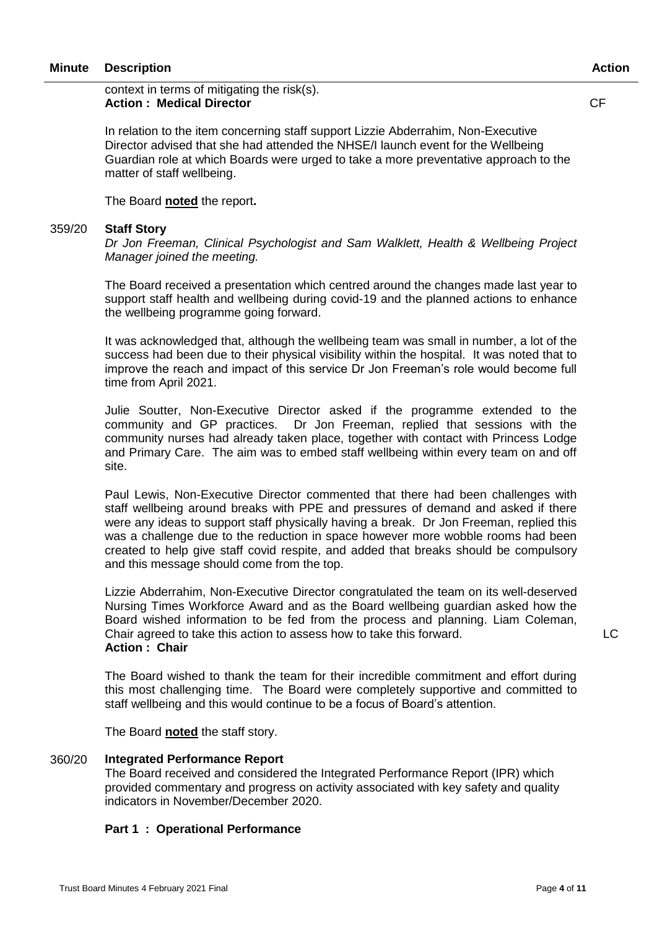CF

In relation to the item concerning staff support Lizzie Abderrahim, Non-Executive Director advised that she had attended the NHSE/I launch event for the Wellbeing Guardian role at which Boards were urged to take a more preventative approach to the matter of staff wellbeing.

The Board **noted** the report**.**

#### 359/20 **Staff Story**

*Dr Jon Freeman, Clinical Psychologist and Sam Walklett, Health & Wellbeing Project Manager joined the meeting.*

The Board received a presentation which centred around the changes made last year to support staff health and wellbeing during covid-19 and the planned actions to enhance the wellbeing programme going forward.

It was acknowledged that, although the wellbeing team was small in number, a lot of the success had been due to their physical visibility within the hospital. It was noted that to improve the reach and impact of this service Dr Jon Freeman's role would become full time from April 2021.

Julie Soutter, Non-Executive Director asked if the programme extended to the community and GP practices. Dr Jon Freeman, replied that sessions with the community nurses had already taken place, together with contact with Princess Lodge and Primary Care. The aim was to embed staff wellbeing within every team on and off site.

Paul Lewis, Non-Executive Director commented that there had been challenges with staff wellbeing around breaks with PPE and pressures of demand and asked if there were any ideas to support staff physically having a break. Dr Jon Freeman, replied this was a challenge due to the reduction in space however more wobble rooms had been created to help give staff covid respite, and added that breaks should be compulsory and this message should come from the top.

Lizzie Abderrahim, Non-Executive Director congratulated the team on its well-deserved Nursing Times Workforce Award and as the Board wellbeing guardian asked how the Board wished information to be fed from the process and planning. Liam Coleman, Chair agreed to take this action to assess how to take this forward. **Action : Chair**

The Board wished to thank the team for their incredible commitment and effort during this most challenging time. The Board were completely supportive and committed to staff wellbeing and this would continue to be a focus of Board's attention.

The Board **noted** the staff story.

#### 360/20 **Integrated Performance Report**

The Board received and considered the Integrated Performance Report (IPR) which provided commentary and progress on activity associated with key safety and quality indicators in November/December 2020.

### **Part 1 : Operational Performance**

LC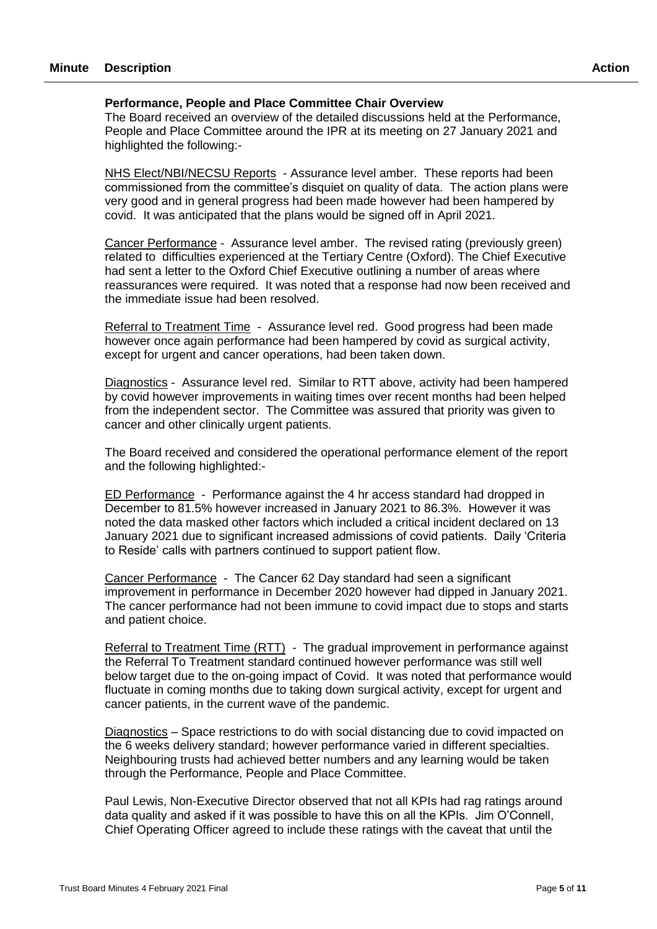#### **Performance, People and Place Committee Chair Overview**

The Board received an overview of the detailed discussions held at the Performance, People and Place Committee around the IPR at its meeting on 27 January 2021 and highlighted the following:-

NHS Elect/NBI/NECSU Reports - Assurance level amber. These reports had been commissioned from the committee's disquiet on quality of data. The action plans were very good and in general progress had been made however had been hampered by covid. It was anticipated that the plans would be signed off in April 2021.

Cancer Performance - Assurance level amber. The revised rating (previously green) related to difficulties experienced at the Tertiary Centre (Oxford). The Chief Executive had sent a letter to the Oxford Chief Executive outlining a number of areas where reassurances were required. It was noted that a response had now been received and the immediate issue had been resolved.

Referral to Treatment Time - Assurance level red. Good progress had been made however once again performance had been hampered by covid as surgical activity, except for urgent and cancer operations, had been taken down.

Diagnostics - Assurance level red. Similar to RTT above, activity had been hampered by covid however improvements in waiting times over recent months had been helped from the independent sector. The Committee was assured that priority was given to cancer and other clinically urgent patients.

The Board received and considered the operational performance element of the report and the following highlighted:-

ED Performance - Performance against the 4 hr access standard had dropped in December to 81.5% however increased in January 2021 to 86.3%. However it was noted the data masked other factors which included a critical incident declared on 13 January 2021 due to significant increased admissions of covid patients. Daily 'Criteria to Reside' calls with partners continued to support patient flow.

Cancer Performance - The Cancer 62 Day standard had seen a significant improvement in performance in December 2020 however had dipped in January 2021. The cancer performance had not been immune to covid impact due to stops and starts and patient choice.

Referral to Treatment Time (RTT) - The gradual improvement in performance against the Referral To Treatment standard continued however performance was still well below target due to the on-going impact of Covid. It was noted that performance would fluctuate in coming months due to taking down surgical activity, except for urgent and cancer patients, in the current wave of the pandemic.

Diagnostics – Space restrictions to do with social distancing due to covid impacted on the 6 weeks delivery standard; however performance varied in different specialties. Neighbouring trusts had achieved better numbers and any learning would be taken through the Performance, People and Place Committee.

Paul Lewis, Non-Executive Director observed that not all KPIs had rag ratings around data quality and asked if it was possible to have this on all the KPIs. Jim O'Connell, Chief Operating Officer agreed to include these ratings with the caveat that until the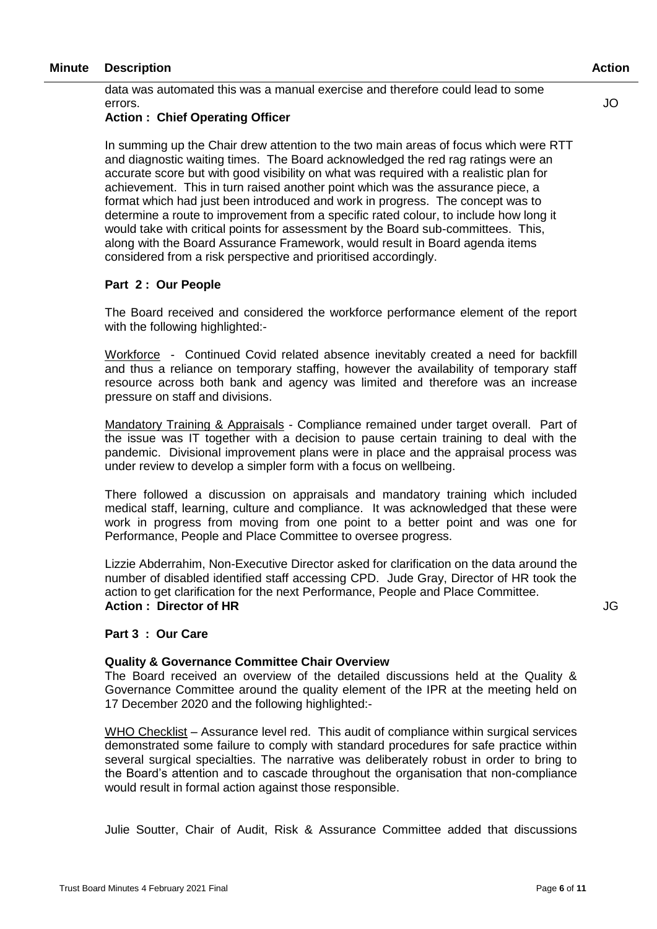data was automated this was a manual exercise and therefore could lead to some errors.

#### **Action : Chief Operating Officer**

In summing up the Chair drew attention to the two main areas of focus which were RTT and diagnostic waiting times. The Board acknowledged the red rag ratings were an accurate score but with good visibility on what was required with a realistic plan for achievement. This in turn raised another point which was the assurance piece, a format which had just been introduced and work in progress. The concept was to determine a route to improvement from a specific rated colour, to include how long it would take with critical points for assessment by the Board sub-committees. This, along with the Board Assurance Framework, would result in Board agenda items considered from a risk perspective and prioritised accordingly.

#### **Part 2 : Our People**

The Board received and considered the workforce performance element of the report with the following highlighted:-

Workforce - Continued Covid related absence inevitably created a need for backfill and thus a reliance on temporary staffing, however the availability of temporary staff resource across both bank and agency was limited and therefore was an increase pressure on staff and divisions.

Mandatory Training & Appraisals - Compliance remained under target overall. Part of the issue was IT together with a decision to pause certain training to deal with the pandemic. Divisional improvement plans were in place and the appraisal process was under review to develop a simpler form with a focus on wellbeing.

There followed a discussion on appraisals and mandatory training which included medical staff, learning, culture and compliance. It was acknowledged that these were work in progress from moving from one point to a better point and was one for Performance, People and Place Committee to oversee progress.

Lizzie Abderrahim, Non-Executive Director asked for clarification on the data around the number of disabled identified staff accessing CPD. Jude Gray, Director of HR took the action to get clarification for the next Performance, People and Place Committee. **Action : Director of HR**

#### **Part 3 : Our Care**

#### **Quality & Governance Committee Chair Overview**

The Board received an overview of the detailed discussions held at the Quality & Governance Committee around the quality element of the IPR at the meeting held on 17 December 2020 and the following highlighted:-

WHO Checklist – Assurance level red. This audit of compliance within surgical services demonstrated some failure to comply with standard procedures for safe practice within several surgical specialties. The narrative was deliberately robust in order to bring to the Board's attention and to cascade throughout the organisation that non-compliance would result in formal action against those responsible.

Julie Soutter, Chair of Audit, Risk & Assurance Committee added that discussions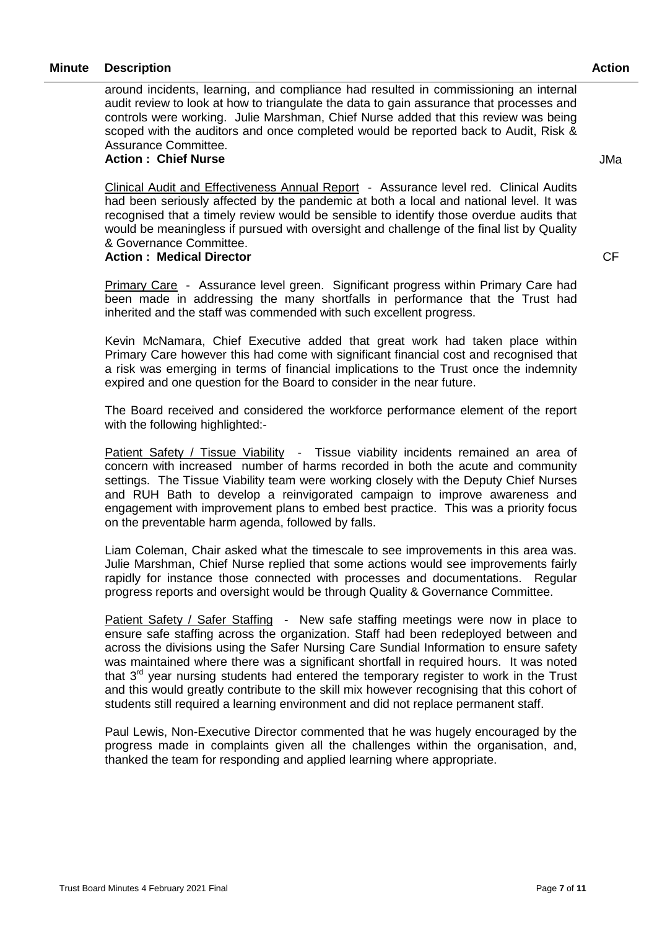around incidents, learning, and compliance had resulted in commissioning an internal audit review to look at how to triangulate the data to gain assurance that processes and controls were working. Julie Marshman, Chief Nurse added that this review was being scoped with the auditors and once completed would be reported back to Audit, Risk & Assurance Committee.

#### **Action : Chief Nurse**

JMa

**CF** 

Clinical Audit and Effectiveness Annual Report - Assurance level red. Clinical Audits had been seriously affected by the pandemic at both a local and national level. It was recognised that a timely review would be sensible to identify those overdue audits that would be meaningless if pursued with oversight and challenge of the final list by Quality & Governance Committee.

#### **Action : Medical Director**

Primary Care - Assurance level green. Significant progress within Primary Care had been made in addressing the many shortfalls in performance that the Trust had inherited and the staff was commended with such excellent progress.

Kevin McNamara, Chief Executive added that great work had taken place within Primary Care however this had come with significant financial cost and recognised that a risk was emerging in terms of financial implications to the Trust once the indemnity expired and one question for the Board to consider in the near future.

The Board received and considered the workforce performance element of the report with the following highlighted:-

Patient Safety / Tissue Viability - Tissue viability incidents remained an area of concern with increased number of harms recorded in both the acute and community settings. The Tissue Viability team were working closely with the Deputy Chief Nurses and RUH Bath to develop a reinvigorated campaign to improve awareness and engagement with improvement plans to embed best practice. This was a priority focus on the preventable harm agenda, followed by falls.

Liam Coleman, Chair asked what the timescale to see improvements in this area was. Julie Marshman, Chief Nurse replied that some actions would see improvements fairly rapidly for instance those connected with processes and documentations. Regular progress reports and oversight would be through Quality & Governance Committee.

Patient Safety / Safer Staffing - New safe staffing meetings were now in place to ensure safe staffing across the organization. Staff had been redeployed between and across the divisions using the Safer Nursing Care Sundial Information to ensure safety was maintained where there was a significant shortfall in required hours. It was noted that  $3<sup>rd</sup>$  year nursing students had entered the temporary register to work in the Trust and this would greatly contribute to the skill mix however recognising that this cohort of students still required a learning environment and did not replace permanent staff.

Paul Lewis, Non-Executive Director commented that he was hugely encouraged by the progress made in complaints given all the challenges within the organisation, and, thanked the team for responding and applied learning where appropriate.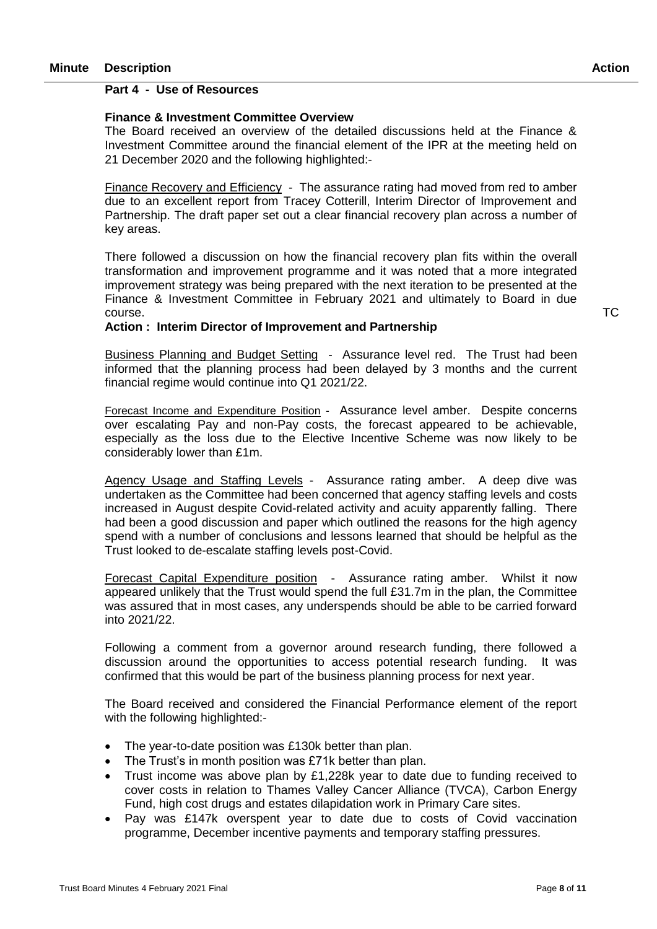#### **Part 4 - Use of Resources**

#### **Finance & Investment Committee Overview**

The Board received an overview of the detailed discussions held at the Finance & Investment Committee around the financial element of the IPR at the meeting held on 21 December 2020 and the following highlighted:-

Finance Recovery and Efficiency - The assurance rating had moved from red to amber due to an excellent report from Tracey Cotterill, Interim Director of Improvement and Partnership. The draft paper set out a clear financial recovery plan across a number of key areas.

There followed a discussion on how the financial recovery plan fits within the overall transformation and improvement programme and it was noted that a more integrated improvement strategy was being prepared with the next iteration to be presented at the Finance & Investment Committee in February 2021 and ultimately to Board in due course.

#### **Action : Interim Director of Improvement and Partnership**

Business Planning and Budget Setting - Assurance level red. The Trust had been informed that the planning process had been delayed by 3 months and the current financial regime would continue into Q1 2021/22.

Forecast Income and Expenditure Position - Assurance level amber. Despite concerns over escalating Pay and non-Pay costs, the forecast appeared to be achievable, especially as the loss due to the Elective Incentive Scheme was now likely to be considerably lower than £1m.

Agency Usage and Staffing Levels - Assurance rating amber. A deep dive was undertaken as the Committee had been concerned that agency staffing levels and costs increased in August despite Covid-related activity and acuity apparently falling. There had been a good discussion and paper which outlined the reasons for the high agency spend with a number of conclusions and lessons learned that should be helpful as the Trust looked to de-escalate staffing levels post-Covid.

Forecast Capital Expenditure position - Assurance rating amber. Whilst it now appeared unlikely that the Trust would spend the full £31.7m in the plan, the Committee was assured that in most cases, any underspends should be able to be carried forward into 2021/22.

Following a comment from a governor around research funding, there followed a discussion around the opportunities to access potential research funding. It was confirmed that this would be part of the business planning process for next year.

The Board received and considered the Financial Performance element of the report with the following highlighted:-

- The year-to-date position was £130k better than plan.
- The Trust's in month position was £71k better than plan.
- Trust income was above plan by  $£1,228k$  year to date due to funding received to cover costs in relation to Thames Valley Cancer Alliance (TVCA), Carbon Energy Fund, high cost drugs and estates dilapidation work in Primary Care sites.
- Pay was £147k overspent year to date due to costs of Covid vaccination programme, December incentive payments and temporary staffing pressures.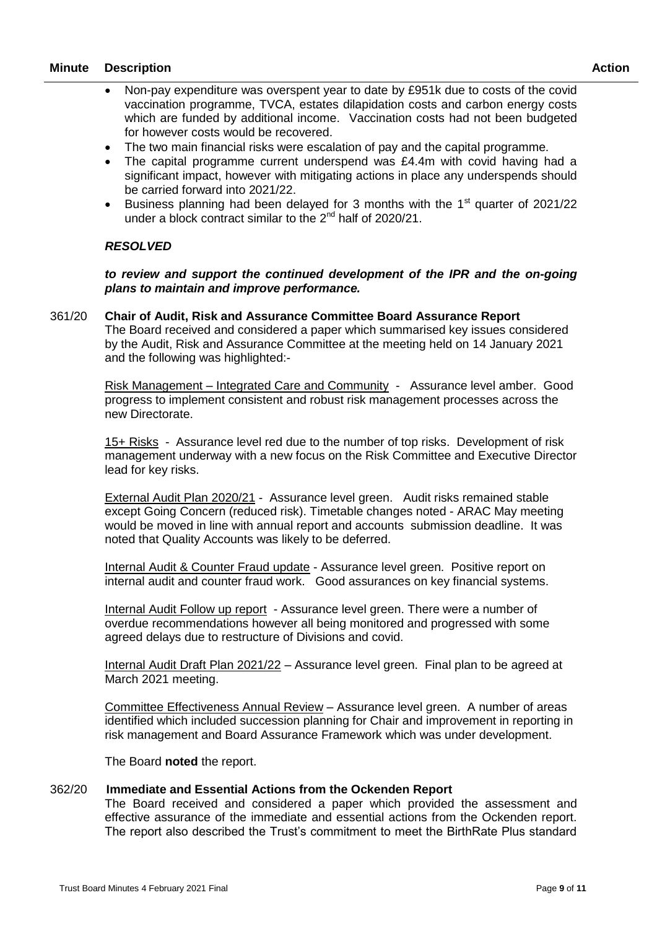- Non-pay expenditure was overspent year to date by £951k due to costs of the covid vaccination programme, TVCA, estates dilapidation costs and carbon energy costs which are funded by additional income. Vaccination costs had not been budgeted for however costs would be recovered.
- The two main financial risks were escalation of pay and the capital programme.
- The capital programme current underspend was £4.4m with covid having had a significant impact, however with mitigating actions in place any underspends should be carried forward into 2021/22.
- Business planning had been delayed for 3 months with the  $1<sup>st</sup>$  quarter of 2021/22 under a block contract similar to the  $2^{nd}$  half of 2020/21.

### *RESOLVED*

*to review and support the continued development of the IPR and the on-going plans to maintain and improve performance.*

#### 361/20 **Chair of Audit, Risk and Assurance Committee Board Assurance Report**

The Board received and considered a paper which summarised key issues considered by the Audit, Risk and Assurance Committee at the meeting held on 14 January 2021 and the following was highlighted:-

Risk Management – Integrated Care and Community - Assurance level amber. Good progress to implement consistent and robust risk management processes across the new Directorate.

15+ Risks - Assurance level red due to the number of top risks. Development of risk management underway with a new focus on the Risk Committee and Executive Director lead for key risks.

External Audit Plan 2020/21 - Assurance level green. Audit risks remained stable except Going Concern (reduced risk). Timetable changes noted - ARAC May meeting would be moved in line with annual report and accounts submission deadline. It was noted that Quality Accounts was likely to be deferred.

Internal Audit & Counter Fraud update - Assurance level green. Positive report on internal audit and counter fraud work. Good assurances on key financial systems.

Internal Audit Follow up report - Assurance level green. There were a number of overdue recommendations however all being monitored and progressed with some agreed delays due to restructure of Divisions and covid.

Internal Audit Draft Plan 2021/22 – Assurance level green. Final plan to be agreed at March 2021 meeting.

Committee Effectiveness Annual Review – Assurance level green. A number of areas identified which included succession planning for Chair and improvement in reporting in risk management and Board Assurance Framework which was under development.

The Board **noted** the report.

#### 362/20 **Immediate and Essential Actions from the Ockenden Report**

The Board received and considered a paper which provided the assessment and effective assurance of the immediate and essential actions from the Ockenden report. The report also described the Trust's commitment to meet the BirthRate Plus standard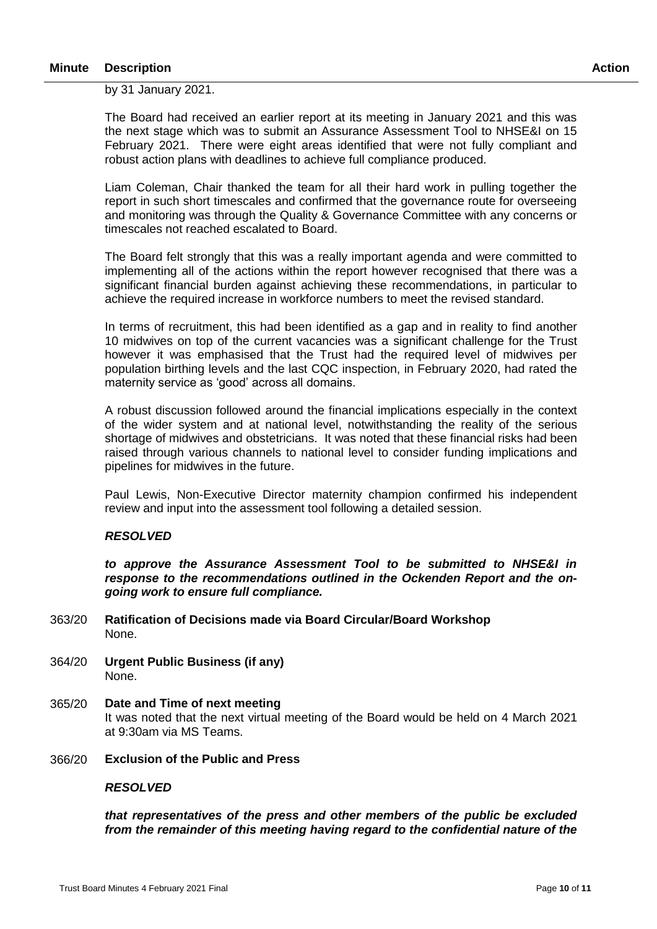by 31 January 2021.

The Board had received an earlier report at its meeting in January 2021 and this was the next stage which was to submit an Assurance Assessment Tool to NHSE&I on 15 February 2021. There were eight areas identified that were not fully compliant and robust action plans with deadlines to achieve full compliance produced.

Liam Coleman, Chair thanked the team for all their hard work in pulling together the report in such short timescales and confirmed that the governance route for overseeing and monitoring was through the Quality & Governance Committee with any concerns or timescales not reached escalated to Board.

The Board felt strongly that this was a really important agenda and were committed to implementing all of the actions within the report however recognised that there was a significant financial burden against achieving these recommendations, in particular to achieve the required increase in workforce numbers to meet the revised standard.

In terms of recruitment, this had been identified as a gap and in reality to find another 10 midwives on top of the current vacancies was a significant challenge for the Trust however it was emphasised that the Trust had the required level of midwives per population birthing levels and the last CQC inspection, in February 2020, had rated the maternity service as 'good' across all domains.

A robust discussion followed around the financial implications especially in the context of the wider system and at national level, notwithstanding the reality of the serious shortage of midwives and obstetricians. It was noted that these financial risks had been raised through various channels to national level to consider funding implications and pipelines for midwives in the future.

Paul Lewis, Non-Executive Director maternity champion confirmed his independent review and input into the assessment tool following a detailed session.

#### *RESOLVED*

*to approve the Assurance Assessment Tool to be submitted to NHSE&I in response to the recommendations outlined in the Ockenden Report and the ongoing work to ensure full compliance.*

- 363/20 **Ratification of Decisions made via Board Circular/Board Workshop** None.
- 364/20 **Urgent Public Business (if any)** None.
- 365/20 **Date and Time of next meeting** It was noted that the next virtual meeting of the Board would be held on 4 March 2021 at 9:30am via MS Teams.
- 366/20 **Exclusion of the Public and Press**

#### *RESOLVED*

*that representatives of the press and other members of the public be excluded from the remainder of this meeting having regard to the confidential nature of the*